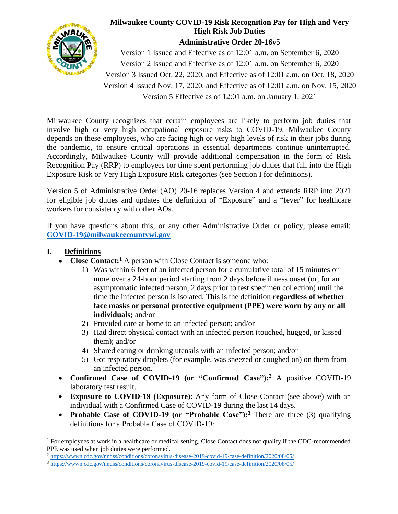

# **Milwaukee County COVID-19 Risk Recognition Pay for High and Very High Risk Job Duties**

**Administrative Order 20-16v5**

Version 1 Issued and Effective as of 12:01 a.m. on September 6, 2020 Version 2 Issued and Effective as of 12:01 a.m. on September 6, 2020 Version 3 Issued Oct. 22, 2020, and Effective as of 12:01 a.m. on Oct. 18, 2020 Version 4 Issued Nov. 17, 2020, and Effective as of 12:01 a.m. on Nov. 15, 2020 Version 5 Effective as of 12:01 a.m. on January 1, 2021

Milwaukee County recognizes that certain employees are likely to perform job duties that involve high or very high occupational exposure risks to COVID-19. Milwaukee County depends on these employees, who are facing high or very high levels of risk in their jobs during the pandemic, to ensure critical operations in essential departments continue uninterrupted. Accordingly, Milwaukee County will provide additional compensation in the form of Risk Recognition Pay (RRP) to employees for time spent performing job duties that fall into the High Exposure Risk or Very High Exposure Risk categories (see Section I for definitions).

\_\_\_\_\_\_\_\_\_\_\_\_\_\_\_\_\_\_\_\_\_\_\_\_\_\_\_\_\_\_\_\_\_\_\_\_\_\_\_\_\_\_\_\_\_\_\_\_\_\_\_\_\_\_\_\_\_\_\_\_\_\_\_\_\_\_\_\_\_\_\_\_\_\_\_\_\_\_\_\_\_\_\_\_\_

Version 5 of Administrative Order (AO) 20-16 replaces Version 4 and extends RRP into 2021 for eligible job duties and updates the definition of "Exposure" and a "fever" for healthcare workers for consistency with other AOs.

If you have questions about this, or any other Administrative Order or policy, please email: **[COVID-19@milwaukeecountywi.gov](mailto:COVID-19@milwaukeecountywi.gov)**

## **I. Definitions**

- **Close Contact:<sup>1</sup>** A person with Close Contact is someone who:
	- 1) Was within 6 feet of an infected person for a cumulative total of 15 minutes or more over a 24-hour period starting from 2 days before illness onset (or, for an asymptomatic infected person, 2 days prior to test specimen collection) until the time the infected person is isolated. This is the definition **regardless of whether face masks or personal protective equipment (PPE) were worn by any or all individuals;** and/or
	- 2) Provided care at home to an infected person; and/or
	- 3) Had direct physical contact with an infected person (touched, hugged, or kissed them); and/or
	- 4) Shared eating or drinking utensils with an infected person; and/or
	- 5) Got respiratory droplets (for example, was sneezed or coughed on) on them from an infected person.
- **Confirmed Case of COVID-19 (or "Confirmed Case"):<sup>2</sup>** A positive COVID-19 laboratory test result.
- **Exposure to COVID-19 (Exposure)**: Any form of Close Contact (see above) with an individual with a Confirmed Case of COVID-19 during the last 14 days.
- **Probable Case of COVID-19 (or "Probable Case"):**<sup>3</sup> There are three (3) qualifying definitions for a Probable Case of COVID-19:

<sup>&</sup>lt;sup>1</sup> For employees at work in a healthcare or medical setting, Close Contact does not qualify if the CDC-recommended PPE was used when job duties were performed.

<sup>&</sup>lt;sup>2</sup> <https://wwwn.cdc.gov/nndss/conditions/coronavirus-disease-2019-covid-19/case-definition/2020/08/05/>

<sup>3</sup> <https://wwwn.cdc.gov/nndss/conditions/coronavirus-disease-2019-covid-19/case-definition/2020/08/05/>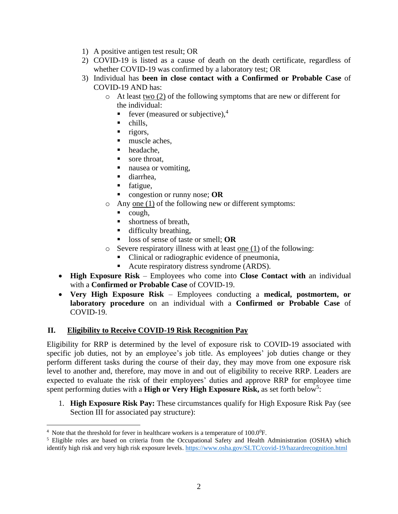- 1) A positive antigen test result; OR
- 2) COVID-19 is listed as a cause of death on the death certificate, regardless of whether COVID-19 was confirmed by a laboratory test; OR
- 3) Individual has **been in close contact with a Confirmed or Probable Case** of COVID-19 AND has:
	- $\circ$  At least <u>two (2)</u> of the following symptoms that are new or different for the individual:
		- **•** fever (measured or subjective),<sup>4</sup>
		- $\blacksquare$  chills.
		- rigors,
		- muscle aches,
		- headache,
		- sore throat,
		- nausea or vomiting,
		- diarrhea,
		- fatigue,
		- congestion or runny nose; **OR**
	- o Any one (1) of the following new or different symptoms:
		- cough,
		- shortness of breath,
		- difficulty breathing,
		- loss of sense of taste or smell; **OR**
	- o Severe respiratory illness with at least one (1) of the following:
		- Clinical or radiographic evidence of pneumonia,
		- Acute respiratory distress syndrome (ARDS).
- **High Exposure Risk** Employees who come into **Close Contact with** an individual with a **Confirmed or Probable Case** of COVID-19.
- **Very High Exposure Risk** Employees conducting a **medical, postmortem, or laboratory procedure** on an individual with a **Confirmed or Probable Case** of COVID-19.

## **II. Eligibility to Receive COVID-19 Risk Recognition Pay**

Eligibility for RRP is determined by the level of exposure risk to COVID-19 associated with specific job duties, not by an employee's job title. As employees' job duties change or they perform different tasks during the course of their day, they may move from one exposure risk level to another and, therefore, may move in and out of eligibility to receive RRP. Leaders are expected to evaluate the risk of their employees' duties and approve RRP for employee time spent performing duties with a **High or Very High Exposure Risk**, as set forth below<sup>5</sup>:

1. **High Exposure Risk Pay:** These circumstances qualify for High Exposure Risk Pay (see Section III for associated pay structure):

 $4$  Note that the threshold for fever in healthcare workers is a temperature of  $100.0^{\circ}$ F.

<sup>&</sup>lt;sup>5</sup> Eligible roles are based on criteria from the Occupational Safety and Health Administration (OSHA) which identify high risk and very high risk exposure levels.<https://www.osha.gov/SLTC/covid-19/hazardrecognition.html>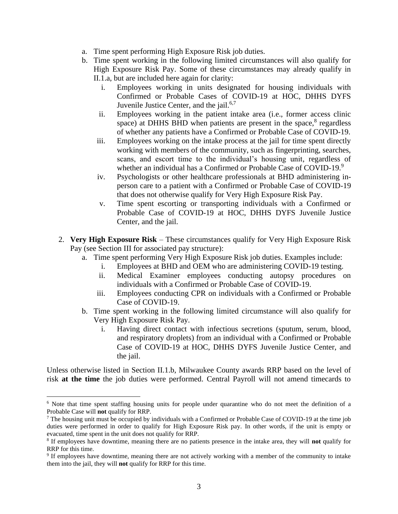- a. Time spent performing High Exposure Risk job duties.
- b. Time spent working in the following limited circumstances will also qualify for High Exposure Risk Pay. Some of these circumstances may already qualify in II.1.a, but are included here again for clarity:
	- i. Employees working in units designated for housing individuals with Confirmed or Probable Cases of COVID-19 at HOC, DHHS DYFS Juvenile Justice Center, and the jail.<sup>6,7</sup>
	- ii. Employees working in the patient intake area (i.e., former access clinic space) at DHHS BHD when patients are present in the space,<sup>8</sup> regardless of whether any patients have a Confirmed or Probable Case of COVID-19.
	- iii. Employees working on the intake process at the jail for time spent directly working with members of the community, such as fingerprinting, searches, scans, and escort time to the individual's housing unit, regardless of whether an individual has a Confirmed or Probable Case of COVID-19.9
	- iv. Psychologists or other healthcare professionals at BHD administering inperson care to a patient with a Confirmed or Probable Case of COVID-19 that does not otherwise qualify for Very High Exposure Risk Pay.
	- v. Time spent escorting or transporting individuals with a Confirmed or Probable Case of COVID-19 at HOC, DHHS DYFS Juvenile Justice Center, and the jail.
- 2. **Very High Exposure Risk** These circumstances qualify for Very High Exposure Risk Pay (see Section III for associated pay structure):
	- a. Time spent performing Very High Exposure Risk job duties. Examples include:
		- i. Employees at BHD and OEM who are administering COVID-19 testing.
		- ii. Medical Examiner employees conducting autopsy procedures on individuals with a Confirmed or Probable Case of COVID-19.
		- iii. Employees conducting CPR on individuals with a Confirmed or Probable Case of COVID-19.
	- b. Time spent working in the following limited circumstance will also qualify for Very High Exposure Risk Pay.
		- i. Having direct contact with infectious secretions (sputum, serum, blood, and respiratory droplets) from an individual with a Confirmed or Probable Case of COVID-19 at HOC, DHHS DYFS Juvenile Justice Center, and the jail.

Unless otherwise listed in Section II.1.b, Milwaukee County awards RRP based on the level of risk **at the time** the job duties were performed. Central Payroll will not amend timecards to

<sup>6</sup> Note that time spent staffing housing units for people under quarantine who do not meet the definition of a Probable Case will **not** qualify for RRP.

<sup>&</sup>lt;sup>7</sup> The housing unit must be occupied by individuals with a Confirmed or Probable Case of COVID-19 at the time job duties were performed in order to qualify for High Exposure Risk pay. In other words, if the unit is empty or evacuated, time spent in the unit does not qualify for RRP.

<sup>8</sup> If employees have downtime, meaning there are no patients presence in the intake area, they will **not** qualify for RRP for this time.

<sup>&</sup>lt;sup>9</sup> If employees have downtime, meaning there are not actively working with a member of the community to intake them into the jail, they will **not** qualify for RRP for this time.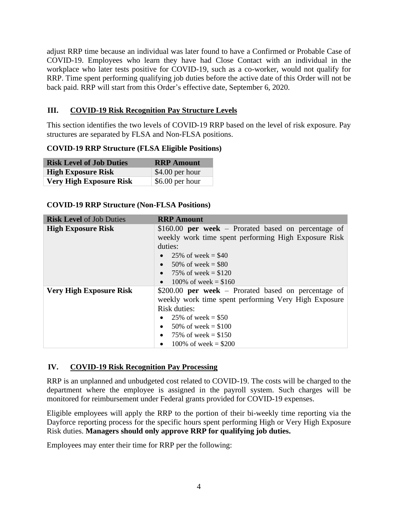adjust RRP time because an individual was later found to have a Confirmed or Probable Case of COVID-19. Employees who learn they have had Close Contact with an individual in the workplace who later tests positive for COVID-19, such as a co-worker, would not qualify for RRP. Time spent performing qualifying job duties before the active date of this Order will not be back paid. RRP will start from this Order's effective date, September 6, 2020.

### **III. COVID-19 Risk Recognition Pay Structure Levels**

This section identifies the two levels of COVID-19 RRP based on the level of risk exposure. Pay structures are separated by FLSA and Non-FLSA positions.

#### **COVID-19 RRP Structure (FLSA Eligible Positions)**

| <b>Risk Level of Job Duties</b> | <b>RRP</b> Amount |
|---------------------------------|-------------------|
| <b>High Exposure Risk</b>       | \$4.00 per hour   |
| <b>Very High Exposure Risk</b>  | $$6.00$ per hour  |

#### **COVID-19 RRP Structure (Non-FLSA Positions)**

| <b>Risk Level</b> of Job Duties | <b>RRP</b> Amount                                                                                                                                                                                                                           |
|---------------------------------|---------------------------------------------------------------------------------------------------------------------------------------------------------------------------------------------------------------------------------------------|
| <b>High Exposure Risk</b>       | \$160.00 <b>per week</b> – Prorated based on percentage of<br>weekly work time spent performing High Exposure Risk<br>duties:<br>• 25% of week = $$40$<br>50% of week = $$80$<br>75% of week = $$120$<br>100\% of week = $$160$             |
| <b>Very High Exposure Risk</b>  | \$200.00 <b>per week</b> – Prorated based on percentage of<br>weekly work time spent performing Very High Exposure<br><b>Risk duties:</b><br>• 25% of week = $$50$<br>50% of week = $$100$<br>75% of week = $$150$<br>100% of week = $$200$ |

#### **IV. COVID-19 Risk Recognition Pay Processing**

RRP is an unplanned and unbudgeted cost related to COVID-19. The costs will be charged to the department where the employee is assigned in the payroll system. Such charges will be monitored for reimbursement under Federal grants provided for COVID-19 expenses.

Eligible employees will apply the RRP to the portion of their bi-weekly time reporting via the Dayforce reporting process for the specific hours spent performing High or Very High Exposure Risk duties. **Managers should only approve RRP for qualifying job duties.**

Employees may enter their time for RRP per the following: